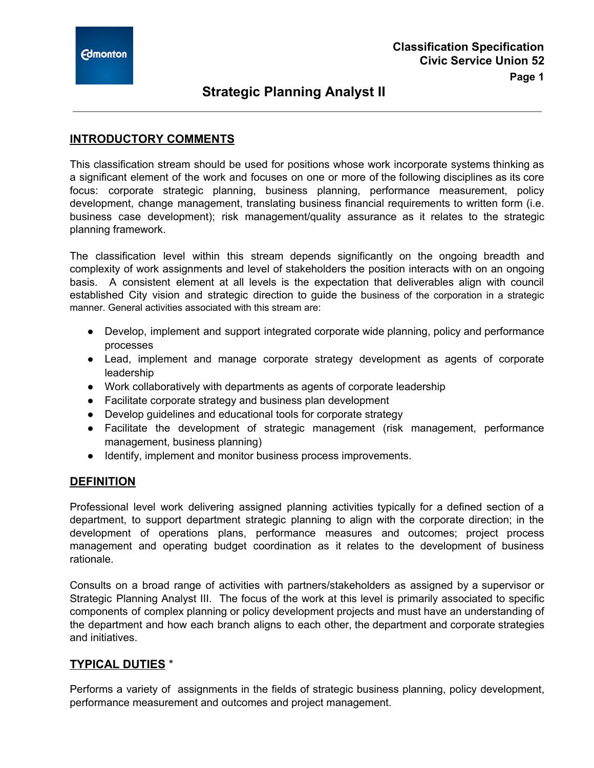# **Strategic Planning Analyst II**

### **INTRODUCTORY COMMENTS**

This classification stream should be used for positions whose work incorporate systems thinking as a significant element of the work and focuses on one or more of the following disciplines as its core focus: corporate strategic planning, business planning, performance measurement, policy development, change management, translating business financial requirements to written form (i.e. business case development); risk management/quality assurance as it relates to the strategic planning framework.

The classification level within this stream depends significantly on the ongoing breadth and complexity of work assignments and level of stakeholders the position interacts with on an ongoing basis. A consistent element at all levels is the expectation that deliverables align with council established City vision and strategic direction to guide the business of the corporation in a strategic manner. General activities associated with this stream are:

- Develop, implement and support integrated corporate wide planning, policy and performance processes
- Lead, implement and manage corporate strategy development as agents of corporate leadership
- Work collaboratively with departments as agents of corporate leadership
- Facilitate corporate strategy and business plan development
- Develop guidelines and educational tools for corporate strategy
- Facilitate the development of strategic management (risk management, performance management, business planning)
- Identify, implement and monitor business process improvements.

### **DEFINITION**

Professional level work delivering assigned planning activities typically for a defined section of a department, to support department strategic planning to align with the corporate direction; in the development of operations plans, performance measures and outcomes; project process management and operating budget coordination as it relates to the development of business rationale.

Consults on a broad range of activities with partners/stakeholders as assigned by a supervisor or Strategic Planning Analyst III. The focus of the work at this level is primarily associated to specific components of complex planning or policy development projects and must have an understanding of the department and how each branch aligns to each other, the department and corporate strategies and initiatives.

### **TYPICAL DUTIES** \*

Performs a variety of assignments in the fields of strategic business planning, policy development, performance measurement and outcomes and project management.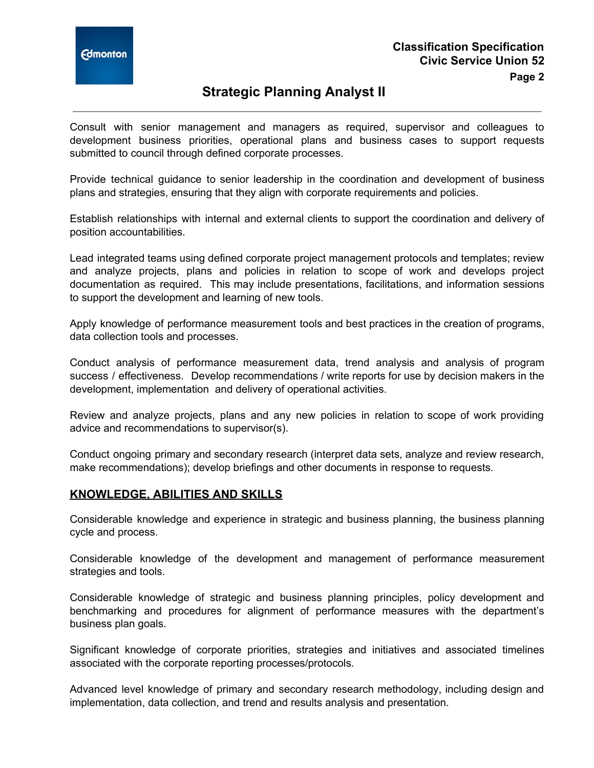

### **Strategic Planning Analyst II**

Consult with senior management and managers as required, supervisor and colleagues to development business priorities, operational plans and business cases to support requests submitted to council through defined corporate processes.

Provide technical guidance to senior leadership in the coordination and development of business plans and strategies, ensuring that they align with corporate requirements and policies.

Establish relationships with internal and external clients to support the coordination and delivery of position accountabilities.

Lead integrated teams using defined corporate project management protocols and templates; review and analyze projects, plans and policies in relation to scope of work and develops project documentation as required. This may include presentations, facilitations, and information sessions to support the development and learning of new tools.

Apply knowledge of performance measurement tools and best practices in the creation of programs, data collection tools and processes.

Conduct analysis of performance measurement data, trend analysis and analysis of program success / effectiveness. Develop recommendations / write reports for use by decision makers in the development, implementation and delivery of operational activities.

Review and analyze projects, plans and any new policies in relation to scope of work providing advice and recommendations to supervisor(s).

Conduct ongoing primary and secondary research (interpret data sets, analyze and review research, make recommendations); develop briefings and other documents in response to requests.

### **KNOWLEDGE, ABILITIES AND SKILLS**

Considerable knowledge and experience in strategic and business planning, the business planning cycle and process.

Considerable knowledge of the development and management of performance measurement strategies and tools.

Considerable knowledge of strategic and business planning principles, policy development and benchmarking and procedures for alignment of performance measures with the department's business plan goals.

Significant knowledge of corporate priorities, strategies and initiatives and associated timelines associated with the corporate reporting processes/protocols.

Advanced level knowledge of primary and secondary research methodology, including design and implementation, data collection, and trend and results analysis and presentation.